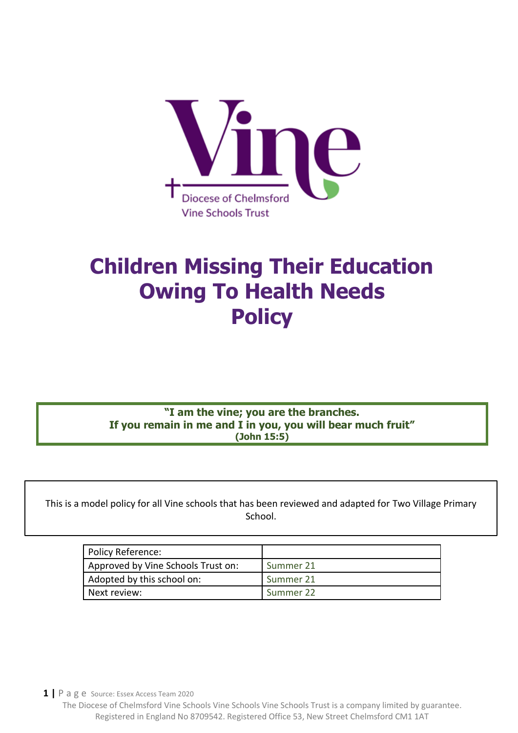

# **Children Missing Their Education Owing To Health Needs Policy**

**"I am the vine; you are the branches. If you remain in me and I in you, you will bear much fruit" (John 15:5)**

This is a model policy for all Vine schools that has been reviewed and adapted for Two Village Primary School.

| Policy Reference:                  |           |
|------------------------------------|-----------|
| Approved by Vine Schools Trust on: | Summer 21 |
| Adopted by this school on:         | Summer 21 |
| Next review:                       | Summer 22 |

**1 |** P a g e Source: Essex Access Team 2020

 $\blacksquare$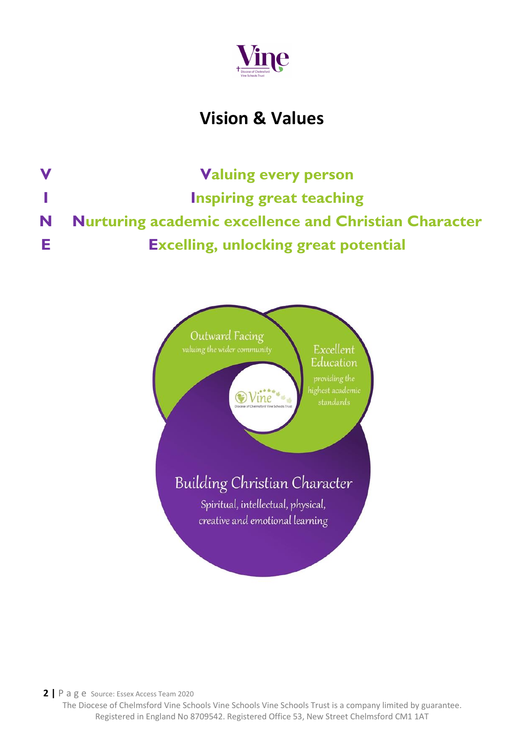

# **Vision & Values**

**V Valuing every person I Inspiring great teaching N Nurturing academic excellence and Christian Character E Excelling, unlocking great potential**



**2 |** P a g e Source: Essex Access Team 2020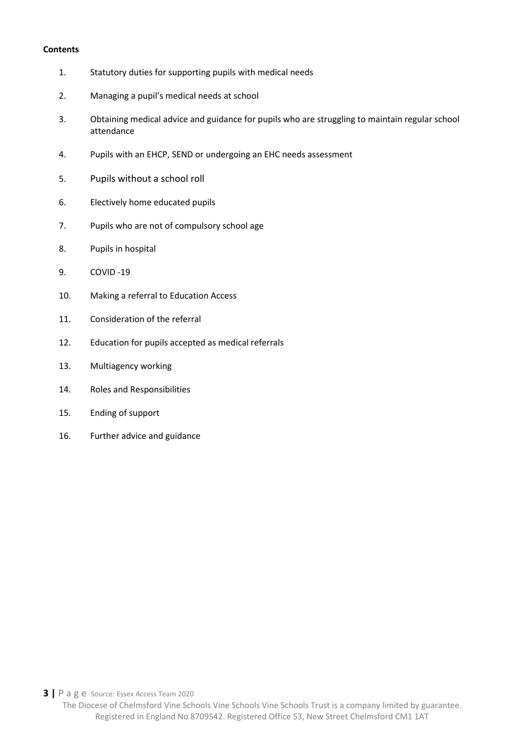#### **Contents**

- 1. Statutory duties for supporting pupils with medical needs
- 2. Managing a pupil's medical needs at school
- 3. Obtaining medical advice and guidance for pupils who are struggling to maintain regular school attendance
- 4. Pupils with an EHCP, SEND or undergoing an EHC needs assessment
- 5. Pupils without a school roll
- 6. Electively home educated pupils
- 7. Pupils who are not of compulsory school age
- 8. Pupils in hospital
- 9. COVID -19
- 10. Making a referral to Education Access
- 11. Consideration of the referral
- 12. Education for pupils accepted as medical referrals
- 13. Multiagency working
- 14. Roles and Responsibilities
- 15. Ending of support
- 16. Further advice and guidance

**3 |** P a g e Source: Essex Access Team 2020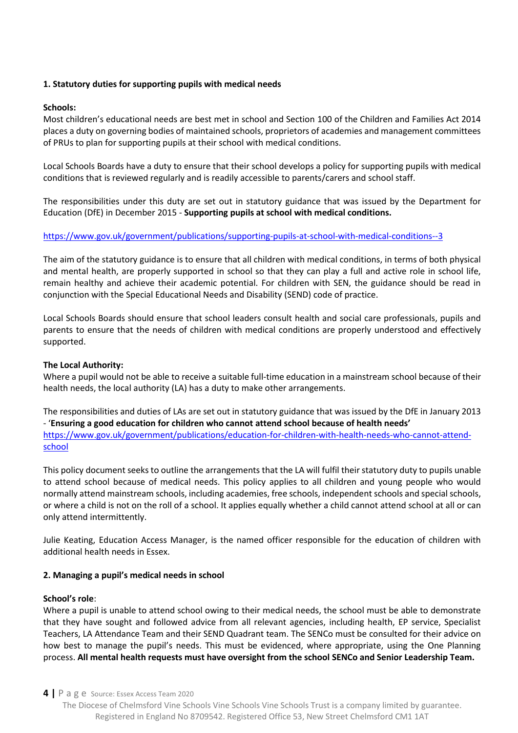# **1. Statutory duties for supporting pupils with medical needs**

### **Schools:**

Most children's educational needs are best met in school and Section 100 of the Children and Families Act 2014 places a duty on governing bodies of maintained schools, proprietors of academies and management committees of PRUs to plan for supporting pupils at their school with medical conditions.

Local Schools Boards have a duty to ensure that their school develops a policy for supporting pupils with medical conditions that is reviewed regularly and is readily accessible to parents/carers and school staff.

The responsibilities under this duty are set out in statutory guidance that was issued by the Department for Education (DfE) in December 2015 - **Supporting pupils at school with medical conditions.**

# <https://www.gov.uk/government/publications/supporting-pupils-at-school-with-medical-conditions--3>

The aim of the statutory guidance is to ensure that all children with medical conditions, in terms of both physical and mental health, are properly supported in school so that they can play a full and active role in school life, remain healthy and achieve their academic potential. For children with SEN, the guidance should be read in conjunction with the Special Educational Needs and Disability (SEND) code of practice.

Local Schools Boards should ensure that school leaders consult health and social care professionals, pupils and parents to ensure that the needs of children with medical conditions are properly understood and effectively supported.

#### **The Local Authority:**

Where a pupil would not be able to receive a suitable full-time education in a mainstream school because of their health needs, the local authority (LA) has a duty to make other arrangements.

The responsibilities and duties of LAs are set out in statutory guidance that was issued by the DfE in January 2013 - '**Ensuring a good education for children who cannot attend school because of health needs'** [https://www.gov.uk/government/publications/education-for-children-with-health-needs-who-cannot-attend](https://www.gov.uk/government/publications/education-for-children-with-health-needs-who-cannot-attend-school)[school](https://www.gov.uk/government/publications/education-for-children-with-health-needs-who-cannot-attend-school)

This policy document seeks to outline the arrangements that the LA will fulfil their statutory duty to pupils unable to attend school because of medical needs. This policy applies to all children and young people who would normally attend mainstream schools, including academies, free schools, independent schools and special schools, or where a child is not on the roll of a school. It applies equally whether a child cannot attend school at all or can only attend intermittently.

Julie Keating, Education Access Manager, is the named officer responsible for the education of children with additional health needs in Essex.

#### **2. Managing a pupil's medical needs in school**

#### **School's role**:

Where a pupil is unable to attend school owing to their medical needs, the school must be able to demonstrate that they have sought and followed advice from all relevant agencies, including health, EP service, Specialist Teachers, LA Attendance Team and their SEND Quadrant team. The SENCo must be consulted for their advice on how best to manage the pupil's needs. This must be evidenced, where appropriate, using the One Planning process. **All mental health requests must have oversight from the school SENCo and Senior Leadership Team.**

#### **4 |** P a g e Source: Essex Access Team 2020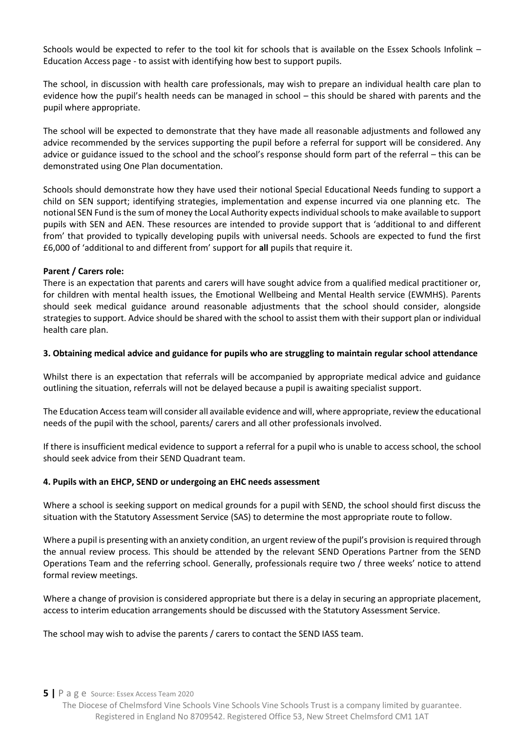Schools would be expected to refer to the tool kit for schools that is available on the Essex Schools Infolink – Education Access page - to assist with identifying how best to support pupils.

The school, in discussion with health care professionals, may wish to prepare an individual health care plan to evidence how the pupil's health needs can be managed in school – this should be shared with parents and the pupil where appropriate.

The school will be expected to demonstrate that they have made all reasonable adjustments and followed any advice recommended by the services supporting the pupil before a referral for support will be considered. Any advice or guidance issued to the school and the school's response should form part of the referral – this can be demonstrated using One Plan documentation.

Schools should demonstrate how they have used their notional Special Educational Needs funding to support a child on SEN support; identifying strategies, implementation and expense incurred via one planning etc. The notional SEN Fund is the sum of money the Local Authority expects individual schools to make available to support pupils with SEN and AEN. These resources are intended to provide support that is 'additional to and different from' that provided to typically developing pupils with universal needs. Schools are expected to fund the first £6,000 of 'additional to and different from' support for **all** pupils that require it.

#### **Parent / Carers role:**

There is an expectation that parents and carers will have sought advice from a qualified medical practitioner or, for children with mental health issues, the Emotional Wellbeing and Mental Health service (EWMHS). Parents should seek medical guidance around reasonable adjustments that the school should consider, alongside strategies to support. Advice should be shared with the school to assist them with their support plan or individual health care plan.

#### **3. Obtaining medical advice and guidance for pupils who are struggling to maintain regular school attendance**

Whilst there is an expectation that referrals will be accompanied by appropriate medical advice and guidance outlining the situation, referrals will not be delayed because a pupil is awaiting specialist support.

The Education Access team will consider all available evidence and will, where appropriate, review the educational needs of the pupil with the school, parents/ carers and all other professionals involved.

If there is insufficient medical evidence to support a referral for a pupil who is unable to access school, the school should seek advice from their SEND Quadrant team.

#### **4. Pupils with an EHCP, SEND or undergoing an EHC needs assessment**

Where a school is seeking support on medical grounds for a pupil with SEND, the school should first discuss the situation with the Statutory Assessment Service (SAS) to determine the most appropriate route to follow.

Where a pupil is presenting with an anxiety condition, an urgent review of the pupil's provision is required through the annual review process. This should be attended by the relevant SEND Operations Partner from the SEND Operations Team and the referring school. Generally, professionals require two / three weeks' notice to attend formal review meetings.

Where a change of provision is considered appropriate but there is a delay in securing an appropriate placement, access to interim education arrangements should be discussed with the Statutory Assessment Service.

The school may wish to advise the parents / carers to contact the SEND IASS team.

**5 |** P a g e Source: Essex Access Team 2020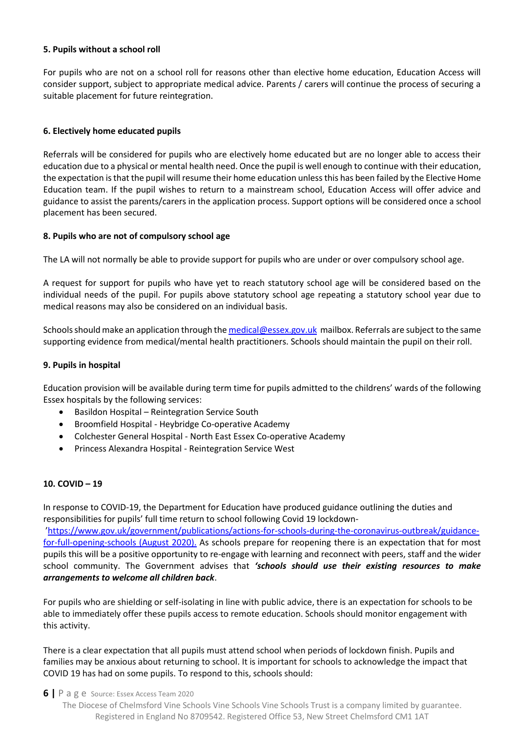# **5. Pupils without a school roll**

For pupils who are not on a school roll for reasons other than elective home education, Education Access will consider support, subject to appropriate medical advice. Parents / carers will continue the process of securing a suitable placement for future reintegration.

# **6. Electively home educated pupils**

Referrals will be considered for pupils who are electively home educated but are no longer able to access their education due to a physical or mental health need. Once the pupil is well enough to continue with their education, the expectation is that the pupil will resume their home education unless this has been failed by the Elective Home Education team. If the pupil wishes to return to a mainstream school, Education Access will offer advice and guidance to assist the parents/carers in the application process. Support options will be considered once a school placement has been secured.

# **8. Pupils who are not of compulsory school age**

The LA will not normally be able to provide support for pupils who are under or over compulsory school age.

A request for support for pupils who have yet to reach statutory school age will be considered based on the individual needs of the pupil. For pupils above statutory school age repeating a statutory school year due to medical reasons may also be considered on an individual basis.

Schools should make an application through the [medical@essex.gov.uk](mailto:medical@essex.gov.uk) mailbox. Referrals are subject to the same supporting evidence from medical/mental health practitioners. Schools should maintain the pupil on their roll.

#### **9. Pupils in hospital**

Education provision will be available during term time for pupils admitted to the childrens' wards of the following Essex hospitals by the following services:

- Basildon Hospital Reintegration Service South
- Broomfield Hospital Heybridge Co-operative Academy
- Colchester General Hospital North East Essex Co-operative Academy
- Princess Alexandra Hospital Reintegration Service West

#### **10. COVID – 19**

In response to COVID-19, the Department for Education have produced guidance outlining the duties and responsibilities for pupils' full time return to school following Covid 19 lockdown- '[https://www.gov.uk/government/publications/actions-for-schools-during-the-coronavirus-outbreak/guidance](https://www.gov.uk/government/publications/actions-for-schools-during-the-coronavirus-outbreak/guidance-for-full-opening-schools)[for-full-opening-schools](https://www.gov.uk/government/publications/actions-for-schools-during-the-coronavirus-outbreak/guidance-for-full-opening-schools) (August 2020). As schools prepare for reopening there is an expectation that for most pupils this will be a positive opportunity to re-engage with learning and reconnect with peers, staff and the wider school community. The Government advises that *'schools should use their existing resources to make arrangements to welcome all children back*.

For pupils who are shielding or self-isolating in line with public advice, there is an expectation for schools to be able to immediately offer these pupils access to remote education. Schools should monitor engagement with this activity.

There is a clear expectation that all pupils must attend school when periods of lockdown finish. Pupils and families may be anxious about returning to school. It is important for schools to acknowledge the impact that COVID 19 has had on some pupils. To respond to this, schools should:

**6 |** P a g e Source: Essex Access Team 2020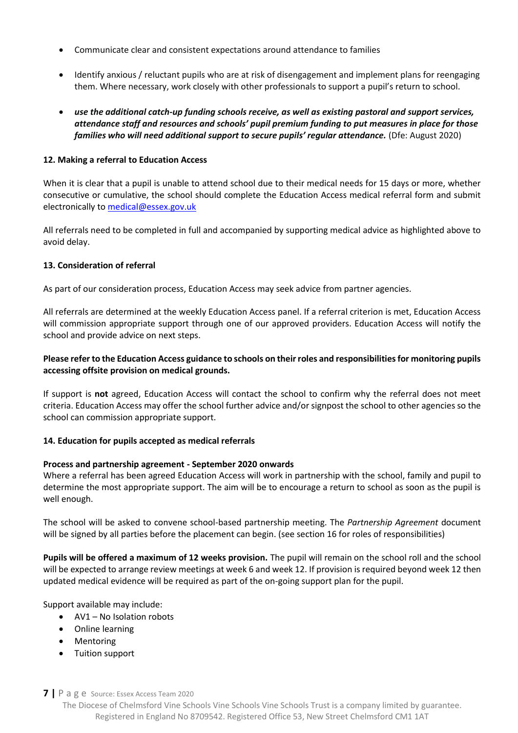- Communicate clear and consistent expectations around attendance to families
- Identify anxious / reluctant pupils who are at risk of disengagement and implement plans for reengaging them. Where necessary, work closely with other professionals to support a pupil's return to school.
- *use the additional catch-up funding schools receive, as well as existing pastoral and support services, attendance staff and resources and schools' pupil premium funding to put measures in place for those families who will need additional support to secure pupils' regular attendance.* (Dfe: August 2020)

# **12. Making a referral to Education Access**

When it is clear that a pupil is unable to attend school due to their medical needs for 15 days or more, whether consecutive or cumulative, the school should complete the Education Access medical referral form and submit electronically to [medical@essex.gov.uk](mailto:medical@essex.gov.uk)

All referrals need to be completed in full and accompanied by supporting medical advice as highlighted above to avoid delay.

# **13. Consideration of referral**

As part of our consideration process, Education Access may seek advice from partner agencies.

All referrals are determined at the weekly Education Access panel. If a referral criterion is met, Education Access will commission appropriate support through one of our approved providers. Education Access will notify the school and provide advice on next steps.

# **Please refer to the Education Access guidance to schools on their roles and responsibilities for monitoring pupils accessing offsite provision on medical grounds.**

If support is **not** agreed, Education Access will contact the school to confirm why the referral does not meet criteria. Education Access may offer the school further advice and/or signpost the school to other agencies so the school can commission appropriate support.

#### **14. Education for pupils accepted as medical referrals**

#### **Process and partnership agreement - September 2020 onwards**

Where a referral has been agreed Education Access will work in partnership with the school, family and pupil to determine the most appropriate support. The aim will be to encourage a return to school as soon as the pupil is well enough.

The school will be asked to convene school-based partnership meeting. The *Partnership Agreement* document will be signed by all parties before the placement can begin. (see section 16 for roles of responsibilities)

**Pupils will be offered a maximum of 12 weeks provision.** The pupil will remain on the school roll and the school will be expected to arrange review meetings at week 6 and week 12. If provision is required beyond week 12 then updated medical evidence will be required as part of the on-going support plan for the pupil.

Support available may include:

- AV1 No Isolation robots
- Online learning
- Mentoring
- Tuition support

#### **7 |** P a g e Source: Essex Access Team 2020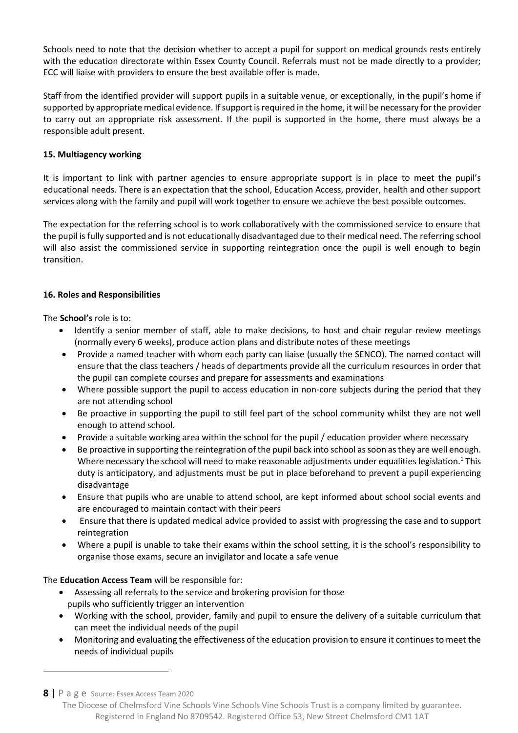Schools need to note that the decision whether to accept a pupil for support on medical grounds rests entirely with the education directorate within Essex County Council. Referrals must not be made directly to a provider; ECC will liaise with providers to ensure the best available offer is made.

Staff from the identified provider will support pupils in a suitable venue, or exceptionally, in the pupil's home if supported by appropriate medical evidence. If support is required in the home, it will be necessary for the provider to carry out an appropriate risk assessment. If the pupil is supported in the home, there must always be a responsible adult present.

# **15. Multiagency working**

It is important to link with partner agencies to ensure appropriate support is in place to meet the pupil's educational needs. There is an expectation that the school, Education Access, provider, health and other support services along with the family and pupil will work together to ensure we achieve the best possible outcomes.

The expectation for the referring school is to work collaboratively with the commissioned service to ensure that the pupil is fully supported and is not educationally disadvantaged due to their medical need. The referring school will also assist the commissioned service in supporting reintegration once the pupil is well enough to begin transition.

# **16. Roles and Responsibilities**

The **School's** role is to:

- Identify a senior member of staff, able to make decisions, to host and chair regular review meetings (normally every 6 weeks), produce action plans and distribute notes of these meetings
- Provide a named teacher with whom each party can liaise (usually the SENCO). The named contact will ensure that the class teachers / heads of departments provide all the curriculum resources in order that the pupil can complete courses and prepare for assessments and examinations
- Where possible support the pupil to access education in non-core subjects during the period that they are not attending school
- Be proactive in supporting the pupil to still feel part of the school community whilst they are not well enough to attend school.
- Provide a suitable working area within the school for the pupil / education provider where necessary
- Be proactive in supporting the reintegration of the pupil back into school as soon as they are well enough. Where necessary the school will need to make reasonable adjustments under equalities legislation.<sup>1</sup> This duty is anticipatory, and adjustments must be put in place beforehand to prevent a pupil experiencing disadvantage
- Ensure that pupils who are unable to attend school, are kept informed about school social events and are encouraged to maintain contact with their peers
- Ensure that there is updated medical advice provided to assist with progressing the case and to support reintegration
- Where a pupil is unable to take their exams within the school setting, it is the school's responsibility to organise those exams, secure an invigilator and locate a safe venue

The **Education Access Team** will be responsible for:

- Assessing all referrals to the service and brokering provision for those pupils who sufficiently trigger an intervention
- Working with the school, provider, family and pupil to ensure the delivery of a suitable curriculum that can meet the individual needs of the pupil
- Monitoring and evaluating the effectiveness of the education provision to ensure it continues to meet the needs of individual pupils

**8 |** P a g e Source: Essex Access Team 2020

 $\overline{a}$ 

The Diocese of Chelmsford Vine Schools Vine Schools Vine Schools Trust is a company limited by guarantee. Registered in England No 8709542. Registered Office 53, New Street Chelmsford CM1 1AT